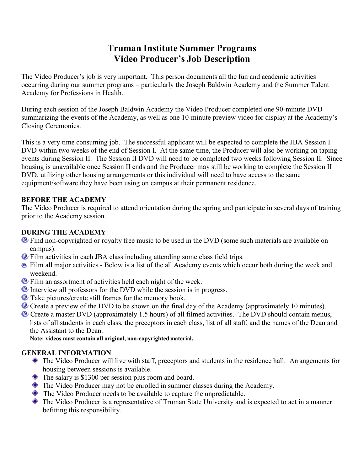# **Truman Institute Summer Programs Video Producer's Job Description**

The Video Producer's job is very important. This person documents all the fun and academic activities occurring during our summer programs – particularly the Joseph Baldwin Academy and the Summer Talent Academy for Professions in Health.

During each session of the Joseph Baldwin Academy the Video Producer completed one 90-minute DVD summarizing the events of the Academy, as well as one 10-minute preview video for display at the Academy's Closing Ceremonies.

This is a very time consuming job. The successful applicant will be expected to complete the JBA Session I DVD within two weeks of the end of Session I. At the same time, the Producer will also be working on taping events during Session II. The Session II DVD will need to be completed two weeks following Session II. Since housing is unavailable once Session II ends and the Producer may still be working to complete the Session II DVD, utilizing other housing arrangements or this individual will need to have access to the same equipment/software they have been using on campus at their permanent residence.

#### **BEFORE THE ACADEMY**

The Video Producer is required to attend orientation during the spring and participate in several days of training prior to the Academy session.

## **DURING THE ACADEMY**

- <sup>®</sup> Find non-copyrighted or royalty free music to be used in the DVD (some such materials are available on campus).
- Film activities in each JBA class including attending some class field trips.
- Film all major activities Below is a list of the all Academy events which occur both during the week and weekend.
- **Example 1** Film an assortment of activities held each night of the week.
- Interview all professors for the DVD while the session is in progress.
- **•** Take pictures/create still frames for the memory book.
- **C** Create a preview of the DVD to be shown on the final day of the Academy (approximately 10 minutes).
- Create a master DVD (approximately 1.5 hours) of all filmed activities. The DVD should contain menus, lists of all students in each class, the preceptors in each class, list of all staff, and the names of the Dean and the Assistant to the Dean.

**Note: videos must contain all original, non-copyrighted material.**

## **GENERAL INFORMATION**

- The Video Producer will live with staff, preceptors and students in the residence hall. Arrangements for housing between sessions is available.
- $\triangle$  The salary is \$1300 per session plus room and board.
- $\bullet$  The Video Producer may not be enrolled in summer classes during the Academy.
- The Video Producer needs to be available to capture the unpredictable.
- The Video Producer is a representative of Truman State University and is expected to act in a manner befitting this responsibility.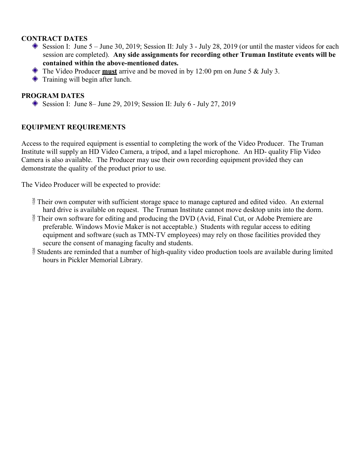#### **CONTRACT DATES**

- Session I: June  $5 -$  June 30, 2019; Session II: July 3 July 28, 2019 (or until the master videos for each session are completed). **Any side assignments for recording other Truman Institute events will be contained within the above-mentioned dates.**
- The Video Producer **must** arrive and be moved in by 12:00 pm on June 5 & July 3.
- $\triangle$  Training will begin after lunch.

### **PROGRAM DATES**

Session I: June 8– June 29, 2019; Session II: July 6 - July 27, 2019

#### **EQUIPMENT REQUIREMENTS**

Access to the required equipment is essential to completing the work of the Video Producer. The Truman Institute will supply an HD Video Camera, a tripod, and a lapel microphone. An HD- quality Flip Video Camera is also available. The Producer may use their own recording equipment provided they can demonstrate the quality of the product prior to use.

The Video Producer will be expected to provide:

- $\frac{3}{10}$  Their own computer with sufficient storage space to manage captured and edited video. An external hard drive is available on request. The Truman Institute cannot move desktop units into the dorm.
- $\frac{35}{17}$  Their own software for editing and producing the DVD (Avid, Final Cut, or Adobe Premiere are preferable. Windows Movie Maker is not acceptable.) Students with regular access to editing equipment and software (such as TMN-TV employees) may rely on those facilities provided they secure the consent of managing faculty and students.
- $\frac{35}{17}$  Students are reminded that a number of high-quality video production tools are available during limited hours in Pickler Memorial Library.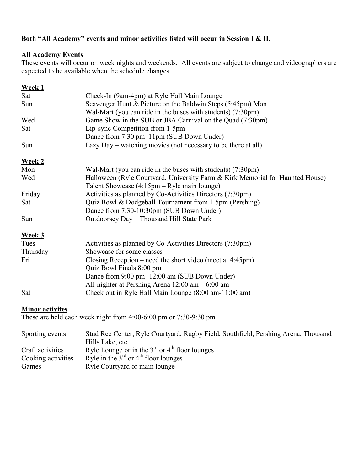## **Both "All Academy" events and minor activities listed will occur in Session I & II.**

### **All Academy Events**

These events will occur on week nights and weekends. All events are subject to change and videographers are expected to be available when the schedule changes.

| Week 1                 |                                                                                    |
|------------------------|------------------------------------------------------------------------------------|
| Sat                    | Check-In (9am-4pm) at Ryle Hall Main Lounge                                        |
| Sun                    | Scavenger Hunt & Picture on the Baldwin Steps (5:45pm) Mon                         |
|                        | Wal-Mart (you can ride in the buses with students) (7:30pm)                        |
| Wed                    | Game Show in the SUB or JBA Carnival on the Quad (7:30pm)                          |
| Sat                    | Lip-sync Competition from 1-5pm                                                    |
|                        | Dance from 7:30 pm-11pm (SUB Down Under)                                           |
| Sun                    | Lazy Day – watching movies (not necessary to be there at all)                      |
| <b>Week 2</b>          |                                                                                    |
| Mon                    | Wal-Mart (you can ride in the buses with students) (7:30pm)                        |
| Wed                    | Halloween (Ryle Courtyard, University Farm & Kirk Memorial for Haunted House)      |
|                        | Talent Showcase (4:15pm – Ryle main lounge)                                        |
| Friday                 | Activities as planned by Co-Activities Directors (7:30pm)                          |
| Sat                    | Quiz Bowl & Dodgeball Tournament from 1-5pm (Pershing)                             |
|                        | Dance from 7:30-10:30pm (SUB Down Under)                                           |
| Sun                    | Outdoorsey Day - Thousand Hill State Park                                          |
| <b>Week 3</b>          |                                                                                    |
| Tues                   | Activities as planned by Co-Activities Directors (7:30pm)                          |
| Thursday               | Showcase for some classes                                                          |
| Fri                    | Closing Reception – need the short video (meet at $4:45 \text{pm}$ )               |
|                        | Quiz Bowl Finals 8:00 pm                                                           |
|                        | Dance from 9:00 pm -12:00 am (SUB Down Under)                                      |
|                        | All-nighter at Pershing Arena $12:00$ am $-6:00$ am                                |
| Sat                    | Check out in Ryle Hall Main Lounge (8:00 am-11:00 am)                              |
| <b>Minor activites</b> |                                                                                    |
|                        | These are held each week night from $4:00-6:00$ pm or $7:30-9:30$ pm               |
| Sporting events        | Stud Rec Center, Ryle Courtyard, Rugby Field, Southfield, Pershing Arena, Thousand |
|                        | Hills Lake, etc                                                                    |
| Craft activities       | Ryle Lounge or in the $3rd$ or $4th$ floor lounges                                 |

- Cooking activities Ryle in the  $3<sup>rd</sup>$  or  $4<sup>th</sup>$  floor lounges
- Games Ryle Courtyard or main lounge